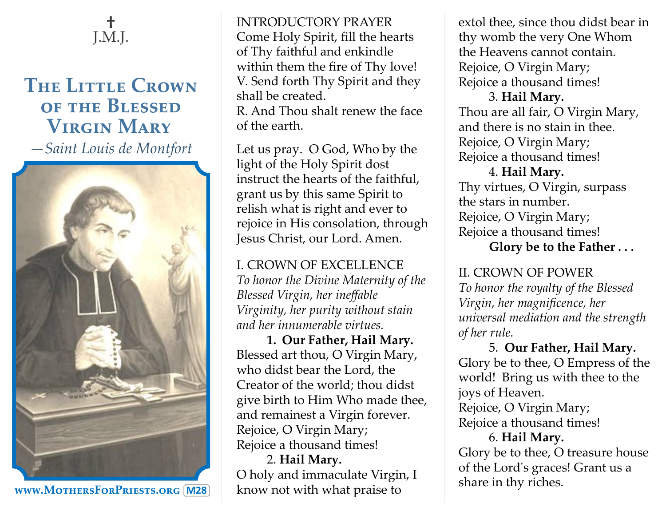

## **The Little Crown of the Blessed Virgin Mary** *—Saint Louis de Montfort*



**www.MothersForPriests.org M28**

INTRODUCTORY PRAYER Come Holy Spirit, fill the hearts of Thy faithful and enkindle within them the fire of Thy love! V. Send forth Thy Spirit and they shall be created. R. And Thou shalt renew the face of the earth.

Let us pray. O God, Who by the light of the Holy Spirit dost instruct the hearts of the faithful, grant us by this same Spirit to relish what is right and ever to rejoice in His consolation, through Jesus Christ, our Lord. Amen.

I. CROWN OF EXCELLENCE *To honor the Divine Maternity of the Blessed Virgin, her ineffable Virginity, her purity without stain and her innumerable virtues.*

**1. Our Father, Hail Mary.** Blessed art thou, O Virgin Mary, who didst bear the Lord, the Creator of the world; thou didst give birth to Him Who made thee, and remainest a Virgin forever. Rejoice, O Virgin Mary; Rejoice a thousand times!

2. **Hail Mary.** O holy and immaculate Virgin, I know not with what praise to

extol thee, since thou didst bear in thy womb the very One Whom the Heavens cannot contain. Rejoice, O Virgin Mary; Rejoice a thousand times! 3. **Hail Mary.**

Thou are all fair, O Virgin Mary, and there is no stain in thee. Rejoice, O Virgin Mary; Rejoice a thousand times!

4. **Hail Mary.** Thy virtues, O Virgin, surpass the stars in number. Rejoice, O Virgin Mary; Rejoice a thousand times! **Glory be to the Father . . .** 

II. CROWN OF POWER *To honor the royalty of the Blessed Virgin, her magnificence, her universal mediation and the strength of her rule.*

5. **Our Father, Hail Mary.** Glory be to thee, O Empress of the world!Bring us with thee to the joys of Heaven. Rejoice, O Virgin Mary; Rejoice a thousand times! 6. **Hail Mary.** Glory be to thee, O treasure house of the Lord's graces! Grant us a share in thy riches.